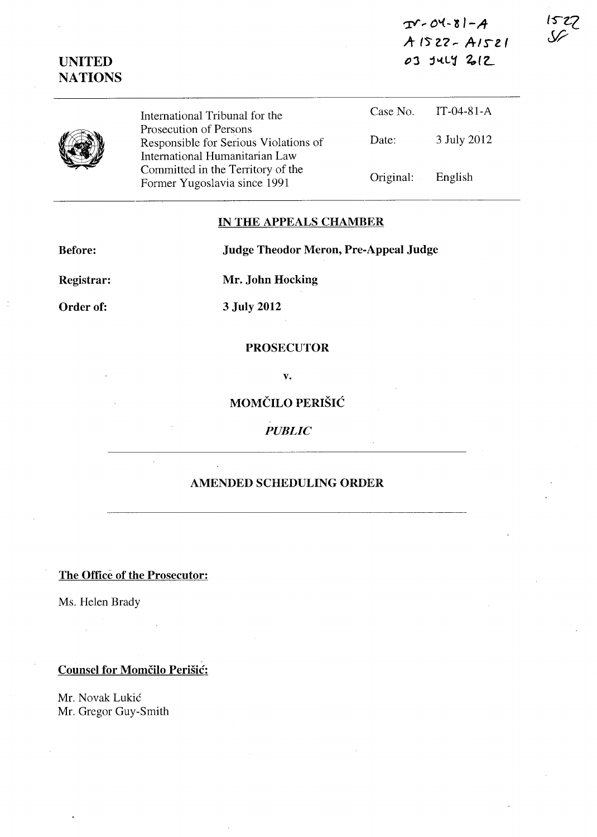$T - 04 - 81 - A$  $A1522 - A1521$ 03 JULY 2012

| <b>UNITED</b>  |  |
|----------------|--|
| <b>NATIONS</b> |  |
|                |  |

 $IT-04-81-A$ 



Case No. International Tribunal for the Prosecution of Persons Date: 3 July 2012 Responsible for Serious Violations of International Humanitarian Law Committed in the Territory of the Original: English Former Yugoslavia since 1991

## IN THE APPEALS CHAMBER

**Before:** 

**Judge Theodor Meron, Pre-Appeal Judge** 

Registrar:

Order of:

3 July 2012

Mr. John Hocking

## **PROSECUTOR**

V.

MOMČILO PERIŠIĆ

**PUBLIC** 

## **AMENDED SCHEDULING ORDER**

The Office of the Prosecutor:

Ms. Helen Brady

**Counsel for Momčilo Perišić:** 

Mr. Novak Lukić Mr. Gregor Guy-Smith